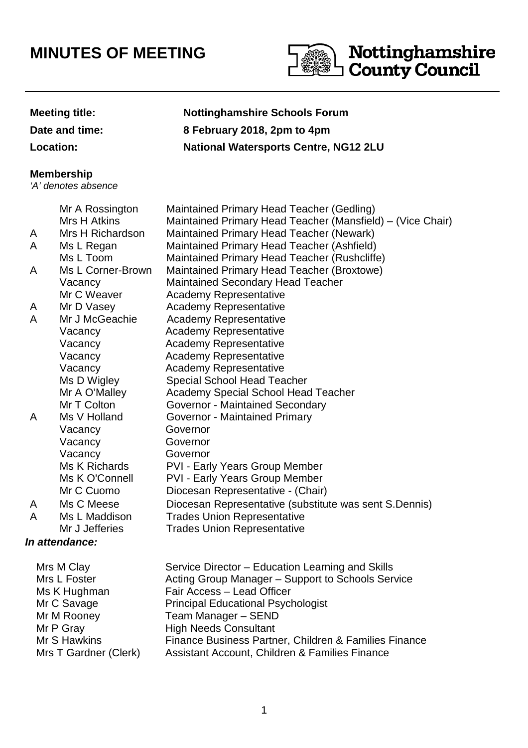# **MINUTES OF MEETING**



#### **Meeting title: Nottinghamshire Schools Forum**

**Date and time: 8 February 2018, 2pm to 4pm**

**Location: National Watersports Centre, NG12 2LU**

#### **Membership**

'A' denotes absence

#### **In attendance:**  Mr A Rossington Maintained Primary Head Teacher (Gedling) Mrs H Atkins Maintained Primary Head Teacher (Mansfield) – (Vice Chair) A Mrs H Richardson Maintained Primary Head Teacher (Newark) A Ms L Regan Maintained Primary Head Teacher (Ashfield) Ms L Toom Maintained Primary Head Teacher (Rushcliffe) A Ms L Corner-Brown Maintained Primary Head Teacher (Broxtowe) Vacancy Maintained Secondary Head Teacher Mr C Weaver **Academy Representative** A Mr D Vasey **Academy Representative** A Mr J McGeachie Academy Representative Vacancy Academy Representative Vacancy Academy Representative Vacancy Academy Representative Vacancy Academy Representative Ms D Wigley Special School Head Teacher Mr A O'Malley Academy Special School Head Teacher Mr T Colton **Governor - Maintained Secondary** A Ms V Holland Governor - Maintained Primary Vacancy Governor Vacancy Governor Vacancy Governor Ms K Richards PVI - Early Years Group Member Ms K O'Connell PVI - Early Years Group Member Mr C Cuomo Diocesan Representative - (Chair) A Ms C Meese Diocesan Representative (substitute was sent S.Dennis) A Ms L Maddison Trades Union Representative Mr J Jefferies Trades Union Representative

| Mrs M Clay            | Service Director - Education Learning and Skills      |
|-----------------------|-------------------------------------------------------|
| Mrs L Foster          | Acting Group Manager - Support to Schools Service     |
| Ms K Hughman          | Fair Access - Lead Officer                            |
| Mr C Savage           | <b>Principal Educational Psychologist</b>             |
| Mr M Rooney           | Team Manager - SEND                                   |
| Mr P Gray             | <b>High Needs Consultant</b>                          |
| Mr S Hawkins          | Finance Business Partner, Children & Families Finance |
| Mrs T Gardner (Clerk) | Assistant Account, Children & Families Finance        |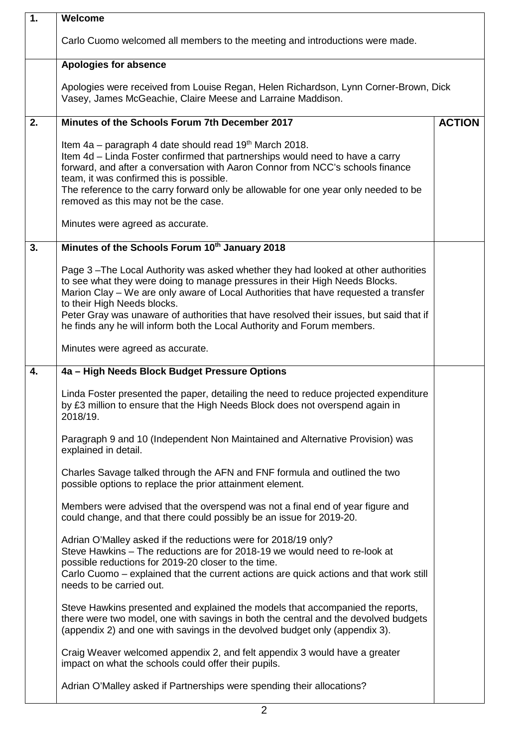| $\overline{1}$ . | Welcome                                                                                                                                                                                                                                                                                                                                                                                                                                                      |               |
|------------------|--------------------------------------------------------------------------------------------------------------------------------------------------------------------------------------------------------------------------------------------------------------------------------------------------------------------------------------------------------------------------------------------------------------------------------------------------------------|---------------|
|                  | Carlo Cuomo welcomed all members to the meeting and introductions were made.                                                                                                                                                                                                                                                                                                                                                                                 |               |
|                  | <b>Apologies for absence</b>                                                                                                                                                                                                                                                                                                                                                                                                                                 |               |
|                  | Apologies were received from Louise Regan, Helen Richardson, Lynn Corner-Brown, Dick<br>Vasey, James McGeachie, Claire Meese and Larraine Maddison.                                                                                                                                                                                                                                                                                                          |               |
| 2.               | Minutes of the Schools Forum 7th December 2017                                                                                                                                                                                                                                                                                                                                                                                                               | <b>ACTION</b> |
|                  | Item 4a – paragraph 4 date should read 19th March 2018.<br>Item 4d – Linda Foster confirmed that partnerships would need to have a carry<br>forward, and after a conversation with Aaron Connor from NCC's schools finance<br>team, it was confirmed this is possible.<br>The reference to the carry forward only be allowable for one year only needed to be<br>removed as this may not be the case.                                                        |               |
|                  | Minutes were agreed as accurate.                                                                                                                                                                                                                                                                                                                                                                                                                             |               |
| 3.               | Minutes of the Schools Forum 10th January 2018                                                                                                                                                                                                                                                                                                                                                                                                               |               |
|                  | Page 3-The Local Authority was asked whether they had looked at other authorities<br>to see what they were doing to manage pressures in their High Needs Blocks.<br>Marion Clay - We are only aware of Local Authorities that have requested a transfer<br>to their High Needs blocks.<br>Peter Gray was unaware of authorities that have resolved their issues, but said that if<br>he finds any he will inform both the Local Authority and Forum members. |               |
|                  | Minutes were agreed as accurate.                                                                                                                                                                                                                                                                                                                                                                                                                             |               |
| 4.               | 4a - High Needs Block Budget Pressure Options                                                                                                                                                                                                                                                                                                                                                                                                                |               |
|                  | Linda Foster presented the paper, detailing the need to reduce projected expenditure<br>by £3 million to ensure that the High Needs Block does not overspend again in<br>2018/19.                                                                                                                                                                                                                                                                            |               |
|                  | Paragraph 9 and 10 (Independent Non Maintained and Alternative Provision) was<br>explained in detail.                                                                                                                                                                                                                                                                                                                                                        |               |
|                  | Charles Savage talked through the AFN and FNF formula and outlined the two<br>possible options to replace the prior attainment element.                                                                                                                                                                                                                                                                                                                      |               |
|                  | Members were advised that the overspend was not a final end of year figure and<br>could change, and that there could possibly be an issue for 2019-20.                                                                                                                                                                                                                                                                                                       |               |
|                  | Adrian O'Malley asked if the reductions were for 2018/19 only?<br>Steve Hawkins - The reductions are for 2018-19 we would need to re-look at<br>possible reductions for 2019-20 closer to the time.<br>Carlo Cuomo – explained that the current actions are quick actions and that work still<br>needs to be carried out.                                                                                                                                    |               |
|                  | Steve Hawkins presented and explained the models that accompanied the reports,<br>there were two model, one with savings in both the central and the devolved budgets<br>(appendix 2) and one with savings in the devolved budget only (appendix 3).                                                                                                                                                                                                         |               |
|                  | Craig Weaver welcomed appendix 2, and felt appendix 3 would have a greater<br>impact on what the schools could offer their pupils.                                                                                                                                                                                                                                                                                                                           |               |
|                  | Adrian O'Malley asked if Partnerships were spending their allocations?                                                                                                                                                                                                                                                                                                                                                                                       |               |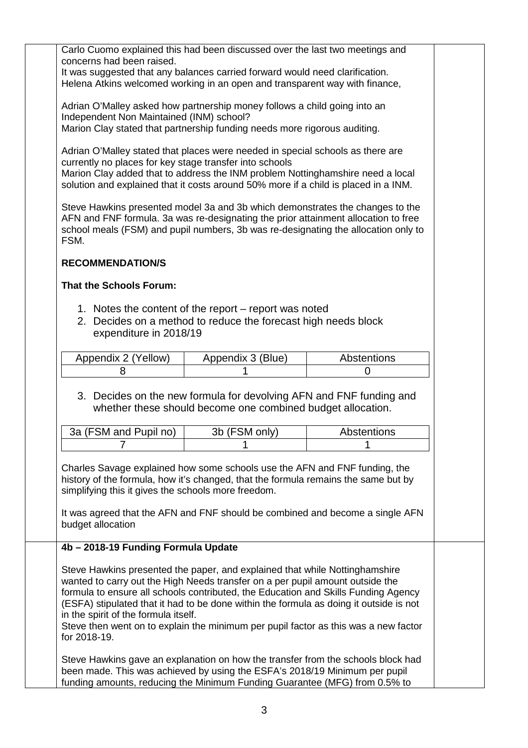Carlo Cuomo explained this had been discussed over the last two meetings and concerns had been raised.

It was suggested that any balances carried forward would need clarification. Helena Atkins welcomed working in an open and transparent way with finance,

Adrian O'Malley asked how partnership money follows a child going into an Independent Non Maintained (INM) school?

Marion Clay stated that partnership funding needs more rigorous auditing.

Adrian O'Malley stated that places were needed in special schools as there are currently no places for key stage transfer into schools Marion Clay added that to address the INM problem Nottinghamshire need a local solution and explained that it costs around 50% more if a child is placed in a INM.

Steve Hawkins presented model 3a and 3b which demonstrates the changes to the AFN and FNF formula. 3a was re-designating the prior attainment allocation to free school meals (FSM) and pupil numbers, 3b was re-designating the allocation only to FSM.

# **RECOMMENDATION/S**

# **That the Schools Forum:**

- 1. Notes the content of the report report was noted
- 2. Decides on a method to reduce the forecast high needs block expenditure in 2018/19

| Appendix 2 (Yellow) | Appendix 3 (Blue) | <b>Abstentions</b> |
|---------------------|-------------------|--------------------|
|                     |                   |                    |

# 3. Decides on the new formula for devolving AFN and FNF funding and whether these should become one combined budget allocation.

| 3a (FSM and Pupil no) | 3b (FSM only) | <b>Abstentions</b> |
|-----------------------|---------------|--------------------|
|                       |               |                    |

Charles Savage explained how some schools use the AFN and FNF funding, the history of the formula, how it's changed, that the formula remains the same but by simplifying this it gives the schools more freedom.

It was agreed that the AFN and FNF should be combined and become a single AFN budget allocation

#### **4b – 2018-19 Funding Formula Update**

Steve Hawkins presented the paper, and explained that while Nottinghamshire wanted to carry out the High Needs transfer on a per pupil amount outside the formula to ensure all schools contributed, the Education and Skills Funding Agency (ESFA) stipulated that it had to be done within the formula as doing it outside is not in the spirit of the formula itself.

Steve then went on to explain the minimum per pupil factor as this was a new factor for 2018-19.

Steve Hawkins gave an explanation on how the transfer from the schools block had been made. This was achieved by using the ESFA's 2018/19 Minimum per pupil funding amounts, reducing the Minimum Funding Guarantee (MFG) from 0.5% to